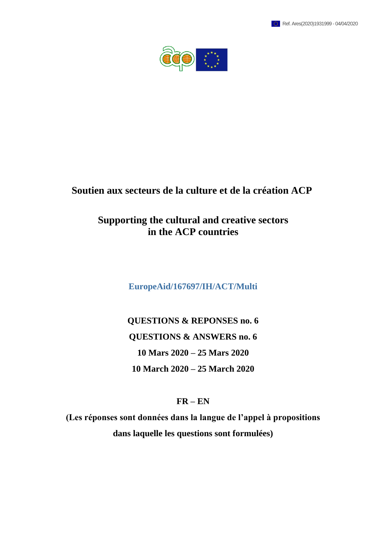



## **Soutien aux secteurs de la culture et de la création ACP**

# **Supporting the cultural and creative sectors in the ACP countries**

**EuropeAid/167697/IH/ACT/Multi**

**QUESTIONS & REPONSES no. 6 QUESTIONS & ANSWERS no. 6 10 Mars 2020 – 25 Mars 2020 10 March 2020 – 25 March 2020**

## **FR – EN**

**(Les réponses sont données dans la langue de l'appel à propositions dans laquelle les questions sont formulées)**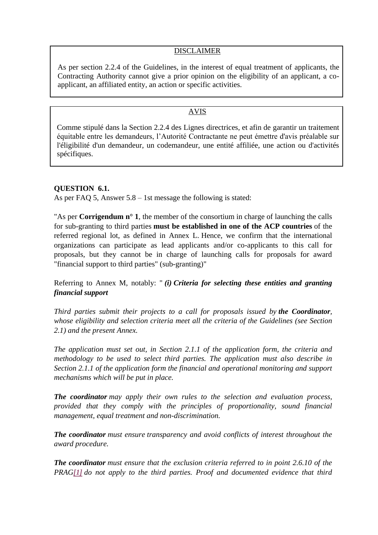#### DISCLAIMER

As per section 2.2.4 of the Guidelines, in the interest of equal treatment of applicants, the Contracting Authority cannot give a prior opinion on the eligibility of an applicant, a coapplicant, an affiliated entity, an action or specific activities.

## AVIS

Comme stipulé dans la Section 2.2.4 des Lignes directrices, et afin de garantir un traitement équitable entre les demandeurs, l'Autorité Contractante ne peut émettre d'avis préalable sur l'éligibilité d'un demandeur, un codemandeur, une entité affiliée, une action ou d'activités spécifiques.

## **QUESTION 6.1.**

As per FAQ 5, Answer 5.8 – 1st message the following is stated:

"As per **Corrigendum n° 1**, the member of the consortium in charge of launching the calls for sub-granting to third parties **must be established in one of the ACP countries** of the referred regional lot, as defined in Annex L. Hence, we confirm that the international organizations can participate as lead applicants and/or co-applicants to this call for proposals, but they cannot be in charge of launching calls for proposals for award "financial support to third parties" (sub-granting)"

## Referring to Annex M, notably: " *(i) Criteria for selecting these entities and granting financial support*

*Third parties submit their projects to a call for proposals issued by the Coordinator, whose eligibility and selection criteria meet all the criteria of the Guidelines (see Section 2.1) and the present Annex.*

*The application must set out, in Section 2.1.1 of the application form, the criteria and methodology to be used to select third parties. The application must also describe in Section 2.1.1 of the application form the financial and operational monitoring and support mechanisms which will be put in place.*

*The coordinator may apply their own rules to the selection and evaluation process, provided that they comply with the principles of proportionality, sound financial management, equal treatment and non-discrimination.*

*The coordinator must ensure transparency and avoid conflicts of interest throughout the award procedure.*

*The coordinator must ensure that the exclusion criteria referred to in point 2.6.10 of the PRAG[\[1\]](applewebdata://2698B85D-AF37-4E45-82CB-881D44834B21/#_ftn1) do not apply to the third parties. Proof and documented evidence that third*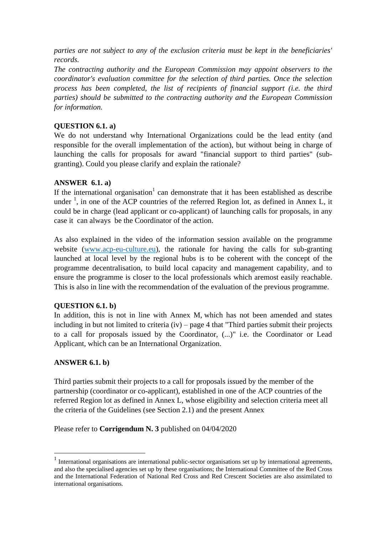*parties are not subject to any of the exclusion criteria must be kept in the beneficiaries' records.*

*The contracting authority and the European Commission may appoint observers to the coordinator's evaluation committee for the selection of third parties. Once the selection process has been completed, the list of recipients of financial support (i.e. the third parties) should be submitted to the contracting authority and the European Commission for information.*

## **QUESTION 6.1. a)**

We do not understand why International Organizations could be the lead entity (and responsible for the overall implementation of the action), but without being in charge of launching the calls for proposals for award "financial support to third parties" (subgranting). Could you please clarify and explain the rationale?

## **ANSWER 6.1. a)**

If the international organisation<sup>1</sup> can demonstrate that it has been established as describe under  $\frac{1}{2}$ , in one of the ACP countries of the referred Region lot, as defined in Annex L, it could be in charge (lead applicant or co-applicant) of launching calls for proposals, in any case it can always be the Coordinator of the action.

As also explained in the video of the information session available on the programme website [\(www.acp-eu-culture.eu\)](http://www.acp-eu-culture.eu/), the rationale for having the calls for sub-granting launched at local level by the regional hubs is to be coherent with the concept of the programme decentralisation, to build local capacity and management capability, and to ensure the programme is closer to the local professionals which aremost easily reachable. This is also in line with the recommendation of the evaluation of the previous programme.

## **QUESTION 6.1. b)**

In addition, this is not in line with Annex M, which has not been amended and states including in but not limited to criteria (iv) – page 4 that "Third parties submit their projects to a call for proposals issued by the Coordinator, (...)" i.e. the Coordinator or Lead Applicant, which can be an International Organization.

#### **ANSWER 6.1. b)**

**.** 

Third parties submit their projects to a call for proposals issued by the member of the partnership (coordinator or co-applicant), established in one of the ACP countries of the referred Region lot as defined in Annex L, whose eligibility and selection criteria meet all the criteria of the Guidelines (see Section 2.1) and the present Annex

#### Please refer to **Corrigendum N. 3** published on 04/04/2020

<sup>&</sup>lt;sup>1</sup> International organisations are international public-sector organisations set up by international agreements, and also the specialised agencies set up by these organisations; the International Committee of the Red Cross and the International Federation of National Red Cross and Red Crescent Societies are also assimilated to international organisations.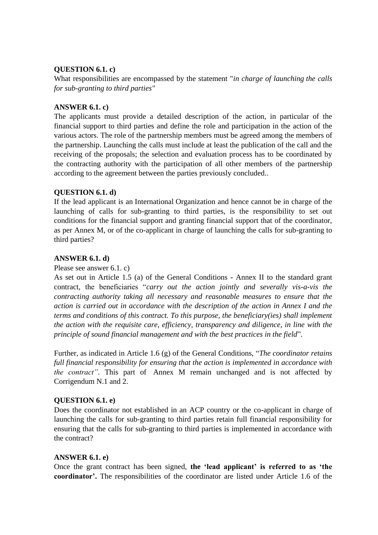## **QUESTION 6.1. c)**

What responsibilities are encompassed by the statement "*in charge of launching the calls for sub-granting to third parties"*

#### **ANSWER 6.1. c)**

The applicants must provide a detailed description of the action, in particular of the financial support to third parties and define the role and participation in the action of the various actors. The role of the partnership members must be agreed among the members of the partnership. Launching the calls must include at least the publication of the call and the receiving of the proposals; the selection and evaluation process has to be coordinated by the contracting authority with the participation of all other members of the partnership according to the agreement between the parties previously concluded..

#### **QUESTION 6.1. d)**

If the lead applicant is an International Organization and hence cannot be in charge of the launching of calls for sub-granting to third parties, is the responsibility to set out conditions for the financial support and granting financial support that of the coordinator, as per Annex M, or of the co-applicant in charge of launching the calls for sub-granting to third parties?

#### **ANSWER 6.1. d)**

#### Please see answer 6.1. c)

As set out in Article 1.5 (a) of the General Conditions - Annex II to the standard grant contract, the beneficiaries "*carry out the action jointly and severally vis-a-vis the contracting authority taking all necessary and reasonable measures to ensure that the action is carried out in accordance with the description of the action in Annex I and the terms and conditions of this contract. To this purpose, the beneficiary(ies) shall implement the action with the requisite care, efficiency, transparency and diligence, in line with the principle of sound financial management and with the best practices in the field*".

Further, as indicated in Article 1.6 (g) of the General Conditions, "*The coordinator retains full financial responsibility for ensuring that the action is implemented in accordance with the contract"*. This part of Annex M remain unchanged and is not affected by Corrigendum N.1 and 2.

## **QUESTION 6.1. e)**

Does the coordinator not established in an ACP country or the co-applicant in charge of launching the calls for sub-granting to third parties retain full financial responsibility for ensuring that the calls for sub-granting to third parties is implemented in accordance with the contract?

#### **ANSWER 6.1. e)**

Once the grant contract has been signed, **the 'lead applicant' is referred to as 'the coordinator'.** The responsibilities of the coordinator are listed under Article 1.6 of the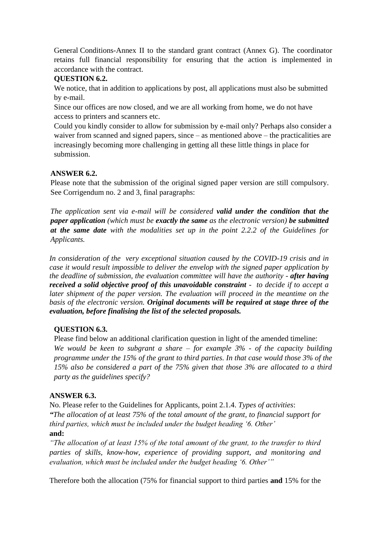General Conditions-Annex II to the standard grant contract (Annex G). The coordinator retains full financial responsibility for ensuring that the action is implemented in accordance with the contract.

## **QUESTION 6.2.**

We notice, that in addition to applications by post, all applications must also be submitted by e-mail.

Since our offices are now closed, and we are all working from home, we do not have access to printers and scanners etc.

Could you kindly consider to allow for submission by e-mail only? Perhaps also consider a waiver from scanned and signed papers, since – as mentioned above – the practicalities are increasingly becoming more challenging in getting all these little things in place for submission.

## **ANSWER 6.2.**

Please note that the submission of the original signed paper version are still compulsory. See Corrigendum no. 2 and 3, final paragraphs:

*The application sent via e-mail will be considered valid under the condition that the paper application (which must be exactly the same as the electronic version) be submitted at the same date with the modalities set up in the point 2.2.2 of the Guidelines for Applicants.*

*In consideration of the very exceptional situation caused by the COVID-19 crisis and in case it would result impossible to deliver the envelop with the signed paper application by the deadline of submission, the evaluation committee will have the authority - after having received a solid objective proof of this unavoidable constraint - to decide if to accept a later shipment of the paper version. The evaluation will proceed in the meantime on the basis of the electronic version. Original documents will be required at stage three of the evaluation, before finalising the list of the selected proposals.*

## **QUESTION 6.3.**

Please find below an additional clarification question in light of the amended timeline:

*We would be keen to subgrant a share – for example 3% - of the capacity building programme under the 15% of the grant to third parties. In that case would those 3% of the 15% also be considered a part of the 75% given that those 3% are allocated to a third party as the guidelines specify?* 

## **ANSWER 6.3.**

No. Please refer to the Guidelines for Applicants, point 2.1.4. *Types of activities*: *"The allocation of at least 75% of the total amount of the grant, to financial support for third parties, which must be included under the budget heading '6. Other'*

## **and:**

*"The allocation of at least 15% of the total amount of the grant, to the transfer to third parties of skills, know-how, experience of providing support, and monitoring and evaluation, which must be included under the budget heading '6. Other'"* 

Therefore both the allocation (75% for financial support to third parties **and** 15% for the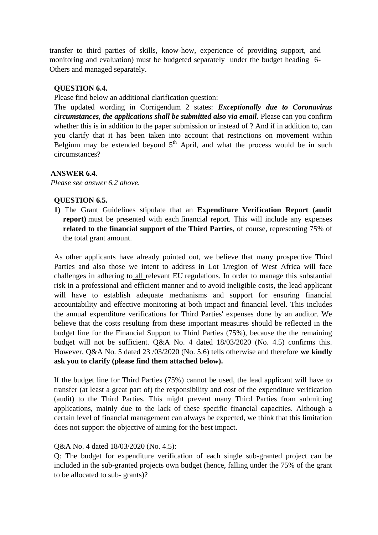transfer to third parties of skills, know-how, experience of providing support, and monitoring and evaluation) must be budgeted separately under the budget heading 6- Others and managed separately.

## **QUESTION 6.4.**

Please find below an additional clarification question:

The updated wording in Corrigendum 2 states: *Exceptionally due to Coronavirus circumstances, the applications shall be submitted also via email.* Please can you confirm whether this is in addition to the paper submission or instead of ? And if in addition to, can you clarify that it has been taken into account that restrictions on movement within Belgium may be extended beyond  $5<sup>th</sup>$  April, and what the process would be in such circumstances?

#### **ANSWER 6.4.**

*Please see answer 6.2 above.*

#### **QUESTION 6.5.**

**1)** The Grant Guidelines stipulate that an **Expenditure Verification Report (audit report**) must be presented with each financial report. This will include any expenses **related to the financial support of the Third Parties**, of course, representing 75% of the total grant amount.

As other applicants have already pointed out, we believe that many prospective Third Parties and also those we intent to address in Lot 1/region of West Africa will face challenges in adhering to all relevant EU regulations. In order to manage this substantial risk in a professional and efficient manner and to avoid ineligible costs, the lead applicant will have to establish adequate mechanisms and support for ensuring financial accountability and effective monitoring at both impact and financial level. This includes the annual expenditure verifications for Third Parties' expenses done by an auditor. We believe that the costs resulting from these important measures should be reflected in the budget line for the Financial Support to Third Parties (75%), because the the remaining budget will not be sufficient. Q&A No. 4 dated 18/03/2020 (No. 4.5) confirms this. However, Q&A No. 5 dated 23 /03/2020 (No. 5.6) tells otherwise and therefore **we kindly ask you to clarify (please find them attached below).**

If the budget line for Third Parties (75%) cannot be used, the lead applicant will have to transfer (at least a great part of) the responsibility and cost of the expenditure verification (audit) to the Third Parties. This might prevent many Third Parties from submitting applications, mainly due to the lack of these specific financial capacities. Although a certain level of financial management can always be expected, we think that this limitation does not support the objective of aiming for the best impact.

#### Q&A No. 4 dated 18/03/2020 (No. 4.5):

Q: The budget for expenditure verification of each single sub-granted project can be included in the sub-granted projects own budget (hence, falling under the 75% of the grant to be allocated to sub- grants)?